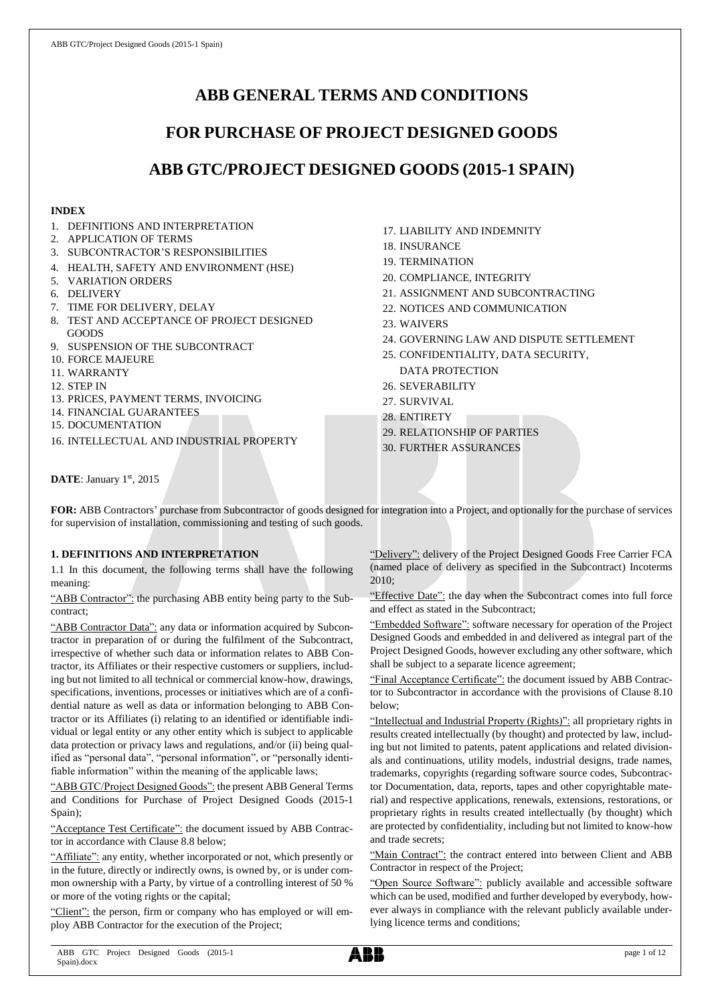# **ABB GENERAL TERMS AND CONDITIONS**

# **FOR PURCHASE OF PROJECT DESIGNED GOODS**

# **ABB GTC/PROJECT DESIGNED GOODS (2015-1 SPAIN)**

## **INDEX**

- 1. DEFINITIONS AND INTERPRETATION
- 2. APPLICATION OF TERMS
- 3. SUBCONTRACTOR'S RESPONSIBILITIES
- 4. HEALTH, SAFETY AND ENVIRONMENT (HSE)
- 5. VARIATION ORDERS
- 6. DELIVERY
- 7. TIME FOR DELIVERY, DELAY
- 8. TEST AND ACCEPTANCE OF PROJECT DESIGNED GOODS
- 9. SUSPENSION OF THE SUBCONTRACT
- 10. FORCE MAJEURE
- 11. WARRANTY
- 12. STEP IN
- 13. PRICES, PAYMENT TERMS, INVOICING
- 14. FINANCIAL GUARANTEES
- 15. DOCUMENTATION
- 16. INTELLECTUAL AND INDUSTRIAL PROPERTY
- 17. LIABILITY AND INDEMNITY
- 18. INSURANCE
- 19. TERMINATION
- 20. COMPLIANCE, INTEGRITY
- 21. ASSIGNMENT AND SUBCONTRACTING
- 22. NOTICES AND COMMUNICATION
- 23. WAIVERS
- 24. GOVERNING LAW AND DISPUTE SETTLEMENT
- 25. CONFIDENTIALITY, DATA SECURITY, DATA PROTECTION
- 26. SEVERABILITY
- 27. SURVIVAL
- 28. ENTIRETY
- 29. RELATIONSHIP OF PARTIES
- 30. FURTHER ASSURANCES

DATE: January 1st, 2015

**FOR:** ABB Contractors' purchase from Subcontractor of goods designed for integration into a Project, and optionally for the purchase of services for supervision of installation, commissioning and testing of such goods.

# **1. DEFINITIONS AND INTERPRETATION**

1.1 In this document, the following terms shall have the following meaning:

"ABB Contractor": the purchasing ABB entity being party to the Subcontract;

"ABB Contractor Data": any data or information acquired by Subcontractor in preparation of or during the fulfilment of the Subcontract, irrespective of whether such data or information relates to ABB Contractor, its Affiliates or their respective customers or suppliers, including but not limited to all technical or commercial know-how, drawings, specifications, inventions, processes or initiatives which are of a confidential nature as well as data or information belonging to ABB Contractor or its Affiliates (i) relating to an identified or identifiable individual or legal entity or any other entity which is subject to applicable data protection or privacy laws and regulations, and/or (ii) being qualified as "personal data", "personal information", or "personally identifiable information" within the meaning of the applicable laws;

"ABB GTC/Project Designed Goods": the present ABB General Terms and Conditions for Purchase of Project Designed Goods (2015-1 Spain);

"Acceptance Test Certificate": the document issued by ABB Contractor in accordance with Clause 8.8 below;

"Affiliate": any entity, whether incorporated or not, which presently or in the future, directly or indirectly owns, is owned by, or is under common ownership with a Party, by virtue of a controlling interest of 50 % or more of the voting rights or the capital;

"Client": the person, firm or company who has employed or will employ ABB Contractor for the execution of the Project;

"Delivery": delivery of the Project Designed Goods Free Carrier FCA (named place of delivery as specified in the Subcontract) Incoterms 2010;

"Effective Date": the day when the Subcontract comes into full force and effect as stated in the Subcontract;

"Embedded Software": software necessary for operation of the Project Designed Goods and embedded in and delivered as integral part of the Project Designed Goods, however excluding any other software, which shall be subject to a separate licence agreement;

"Final Acceptance Certificate": the document issued by ABB Contractor to Subcontractor in accordance with the provisions of Clause 8.10 below;

"Intellectual and Industrial Property (Rights)": all proprietary rights in results created intellectually (by thought) and protected by law, including but not limited to patents, patent applications and related divisionals and continuations, utility models, industrial designs, trade names, trademarks, copyrights (regarding software source codes, Subcontractor Documentation, data, reports, tapes and other copyrightable material) and respective applications, renewals, extensions, restorations, or proprietary rights in results created intellectually (by thought) which are protected by confidentiality, including but not limited to know-how and trade secrets;

"Main Contract": the contract entered into between Client and ABB Contractor in respect of the Project;

"Open Source Software": publicly available and accessible software which can be used, modified and further developed by everybody, however always in compliance with the relevant publicly available underlying licence terms and conditions;

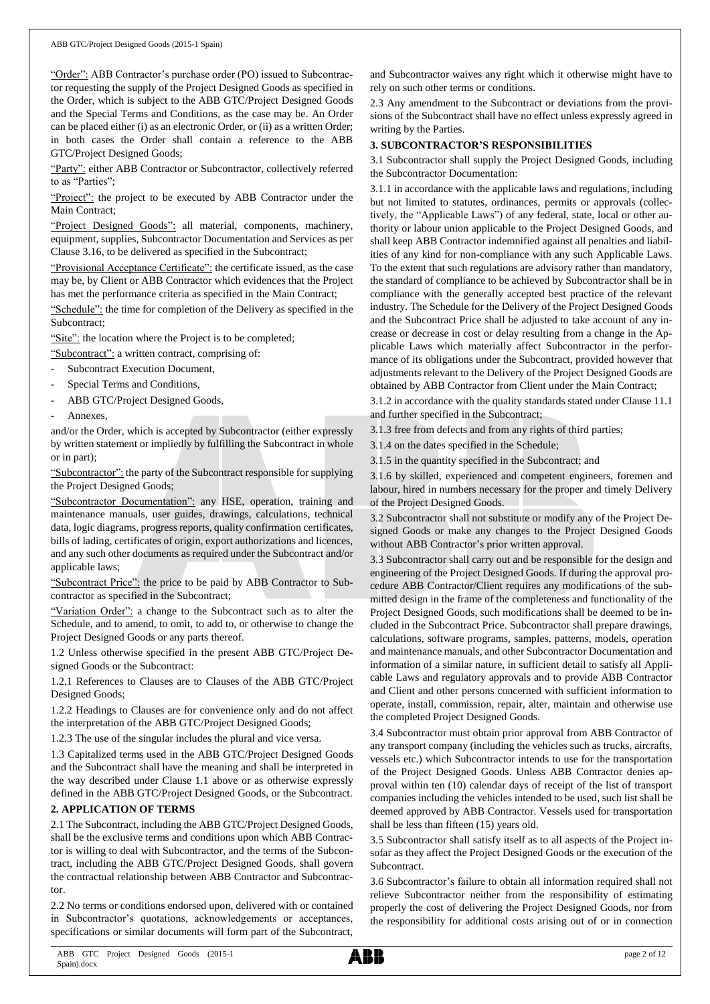"Order": ABB Contractor's purchase order (PO) issued to Subcontractor requesting the supply of the Project Designed Goods as specified in the Order, which is subject to the ABB GTC/Project Designed Goods and the Special Terms and Conditions, as the case may be. An Order can be placed either (i) as an electronic Order, or (ii) as a written Order; in both cases the Order shall contain a reference to the ABB GTC/Project Designed Goods;

"Party": either ABB Contractor or Subcontractor, collectively referred to as "Parties";

"Project": the project to be executed by ABB Contractor under the Main Contract;

"Project Designed Goods": all material, components, machinery, equipment, supplies, Subcontractor Documentation and Services as per Clause 3.16, to be delivered as specified in the Subcontract;

"Provisional Acceptance Certificate": the certificate issued, as the case may be, by Client or ABB Contractor which evidences that the Project has met the performance criteria as specified in the Main Contract;

"Schedule": the time for completion of the Delivery as specified in the Subcontract;

"Site": the location where the Project is to be completed;

"Subcontract": a written contract, comprising of:

- Subcontract Execution Document,
- Special Terms and Conditions,
- ABB GTC/Project Designed Goods,
- Annexes.

and/or the Order, which is accepted by Subcontractor (either expressly by written statement or impliedly by fulfilling the Subcontract in whole or in part);

"Subcontractor": the party of the Subcontract responsible for supplying the Project Designed Goods;

"Subcontractor Documentation": any HSE, operation, training and maintenance manuals, user guides, drawings, calculations, technical data, logic diagrams, progress reports, quality confirmation certificates, bills of lading, certificates of origin, export authorizations and licences, and any such other documents as required under the Subcontract and/or applicable laws;

"Subcontract Price": the price to be paid by ABB Contractor to Subcontractor as specified in the Subcontract;

"Variation Order": a change to the Subcontract such as to alter the Schedule, and to amend, to omit, to add to, or otherwise to change the Project Designed Goods or any parts thereof.

1.2 Unless otherwise specified in the present ABB GTC/Project Designed Goods or the Subcontract:

1.2.1 References to Clauses are to Clauses of the ABB GTC/Project Designed Goods;

1.2.2 Headings to Clauses are for convenience only and do not affect the interpretation of the ABB GTC/Project Designed Goods;

1.2.3 The use of the singular includes the plural and vice versa.

1.3 Capitalized terms used in the ABB GTC/Project Designed Goods and the Subcontract shall have the meaning and shall be interpreted in the way described under Clause 1.1 above or as otherwise expressly defined in the ABB GTC/Project Designed Goods, or the Subcontract.

#### **2. APPLICATION OF TERMS**

2.1 The Subcontract, including the ABB GTC/Project Designed Goods, shall be the exclusive terms and conditions upon which ABB Contractor is willing to deal with Subcontractor, and the terms of the Subcontract, including the ABB GTC/Project Designed Goods, shall govern the contractual relationship between ABB Contractor and Subcontractor.

2.2 No terms or conditions endorsed upon, delivered with or contained in Subcontractor's quotations, acknowledgements or acceptances, specifications or similar documents will form part of the Subcontract,

and Subcontractor waives any right which it otherwise might have to rely on such other terms or conditions.

2.3 Any amendment to the Subcontract or deviations from the provisions of the Subcontract shall have no effect unless expressly agreed in writing by the Parties.

#### **3. SUBCONTRACTOR'S RESPONSIBILITIES**

3.1 Subcontractor shall supply the Project Designed Goods, including the Subcontractor Documentation:

3.1.1 in accordance with the applicable laws and regulations, including but not limited to statutes, ordinances, permits or approvals (collectively, the "Applicable Laws") of any federal, state, local or other authority or labour union applicable to the Project Designed Goods, and shall keep ABB Contractor indemnified against all penalties and liabilities of any kind for non-compliance with any such Applicable Laws. To the extent that such regulations are advisory rather than mandatory, the standard of compliance to be achieved by Subcontractor shall be in compliance with the generally accepted best practice of the relevant industry. The Schedule for the Delivery of the Project Designed Goods and the Subcontract Price shall be adjusted to take account of any increase or decrease in cost or delay resulting from a change in the Applicable Laws which materially affect Subcontractor in the performance of its obligations under the Subcontract, provided however that adjustments relevant to the Delivery of the Project Designed Goods are obtained by ABB Contractor from Client under the Main Contract;

3.1.2 in accordance with the quality standards stated under Clause 11.1 and further specified in the Subcontract;

3.1.3 free from defects and from any rights of third parties;

3.1.4 on the dates specified in the Schedule;

3.1.5 in the quantity specified in the Subcontract; and

3.1.6 by skilled, experienced and competent engineers, foremen and labour, hired in numbers necessary for the proper and timely Delivery of the Project Designed Goods.

3.2 Subcontractor shall not substitute or modify any of the Project Designed Goods or make any changes to the Project Designed Goods without ABB Contractor's prior written approval.

3.3 Subcontractor shall carry out and be responsible for the design and engineering of the Project Designed Goods. If during the approval procedure ABB Contractor/Client requires any modifications of the submitted design in the frame of the completeness and functionality of the Project Designed Goods, such modifications shall be deemed to be included in the Subcontract Price. Subcontractor shall prepare drawings, calculations, software programs, samples, patterns, models, operation and maintenance manuals, and other Subcontractor Documentation and information of a similar nature, in sufficient detail to satisfy all Applicable Laws and regulatory approvals and to provide ABB Contractor and Client and other persons concerned with sufficient information to operate, install, commission, repair, alter, maintain and otherwise use the completed Project Designed Goods.

3.4 Subcontractor must obtain prior approval from ABB Contractor of any transport company (including the vehicles such as trucks, aircrafts, vessels etc.) which Subcontractor intends to use for the transportation of the Project Designed Goods. Unless ABB Contractor denies approval within ten (10) calendar days of receipt of the list of transport companies including the vehicles intended to be used, such list shall be deemed approved by ABB Contractor. Vessels used for transportation shall be less than fifteen (15) years old.

3.5 Subcontractor shall satisfy itself as to all aspects of the Project insofar as they affect the Project Designed Goods or the execution of the Subcontract.

3.6 Subcontractor's failure to obtain all information required shall not relieve Subcontractor neither from the responsibility of estimating properly the cost of delivering the Project Designed Goods, nor from the responsibility for additional costs arising out of or in connection

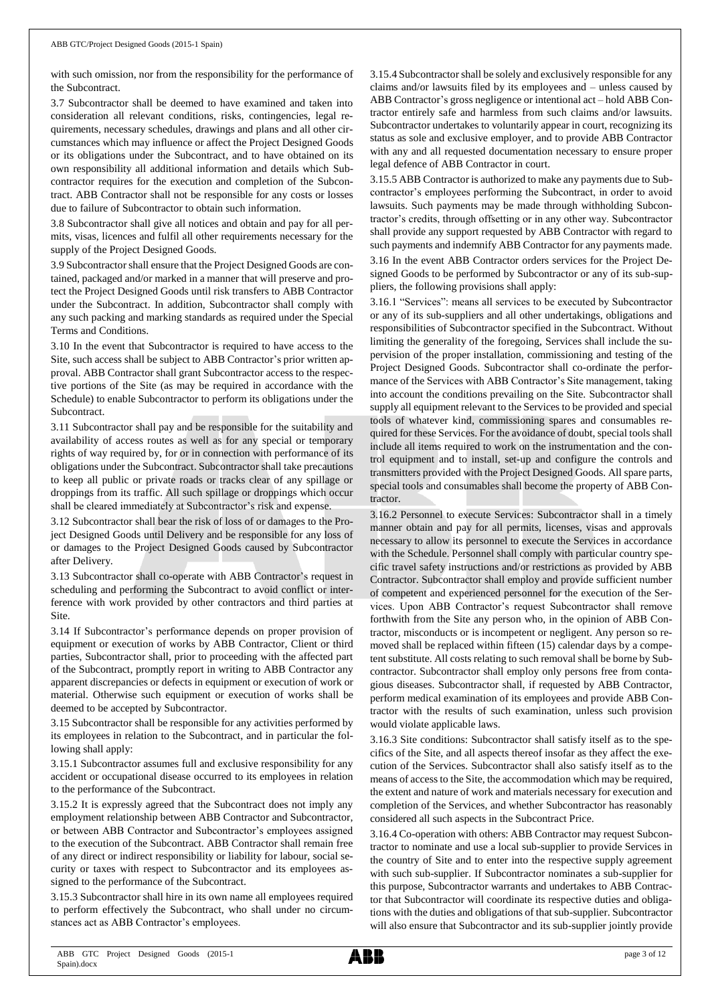with such omission, nor from the responsibility for the performance of the Subcontract.

3.7 Subcontractor shall be deemed to have examined and taken into consideration all relevant conditions, risks, contingencies, legal requirements, necessary schedules, drawings and plans and all other circumstances which may influence or affect the Project Designed Goods or its obligations under the Subcontract, and to have obtained on its own responsibility all additional information and details which Subcontractor requires for the execution and completion of the Subcontract. ABB Contractor shall not be responsible for any costs or losses due to failure of Subcontractor to obtain such information.

3.8 Subcontractor shall give all notices and obtain and pay for all permits, visas, licences and fulfil all other requirements necessary for the supply of the Project Designed Goods.

3.9 Subcontractorshall ensure that the Project Designed Goods are contained, packaged and/or marked in a manner that will preserve and protect the Project Designed Goods until risk transfers to ABB Contractor under the Subcontract. In addition, Subcontractor shall comply with any such packing and marking standards as required under the Special Terms and Conditions.

3.10 In the event that Subcontractor is required to have access to the Site, such access shall be subject to ABB Contractor's prior written approval. ABB Contractor shall grant Subcontractor access to the respective portions of the Site (as may be required in accordance with the Schedule) to enable Subcontractor to perform its obligations under the Subcontract.

3.11 Subcontractor shall pay and be responsible for the suitability and availability of access routes as well as for any special or temporary rights of way required by, for or in connection with performance of its obligations under the Subcontract. Subcontractor shall take precautions to keep all public or private roads or tracks clear of any spillage or droppings from its traffic. All such spillage or droppings which occur shall be cleared immediately at Subcontractor's risk and expense.

3.12 Subcontractor shall bear the risk of loss of or damages to the Project Designed Goods until Delivery and be responsible for any loss of or damages to the Project Designed Goods caused by Subcontractor after Delivery.

3.13 Subcontractor shall co-operate with ABB Contractor's request in scheduling and performing the Subcontract to avoid conflict or interference with work provided by other contractors and third parties at Site.

3.14 If Subcontractor's performance depends on proper provision of equipment or execution of works by ABB Contractor, Client or third parties, Subcontractor shall, prior to proceeding with the affected part of the Subcontract, promptly report in writing to ABB Contractor any apparent discrepancies or defects in equipment or execution of work or material. Otherwise such equipment or execution of works shall be deemed to be accepted by Subcontractor.

3.15 Subcontractor shall be responsible for any activities performed by its employees in relation to the Subcontract, and in particular the following shall apply:

3.15.1 Subcontractor assumes full and exclusive responsibility for any accident or occupational disease occurred to its employees in relation to the performance of the Subcontract.

3.15.2 It is expressly agreed that the Subcontract does not imply any employment relationship between ABB Contractor and Subcontractor, or between ABB Contractor and Subcontractor's employees assigned to the execution of the Subcontract. ABB Contractor shall remain free of any direct or indirect responsibility or liability for labour, social security or taxes with respect to Subcontractor and its employees assigned to the performance of the Subcontract.

3.15.3 Subcontractor shall hire in its own name all employees required to perform effectively the Subcontract, who shall under no circumstances act as ABB Contractor's employees.

3.15.4 Subcontractor shall be solely and exclusively responsible for any claims and/or lawsuits filed by its employees and – unless caused by ABB Contractor's gross negligence or intentional act – hold ABB Contractor entirely safe and harmless from such claims and/or lawsuits. Subcontractor undertakes to voluntarily appear in court, recognizing its status as sole and exclusive employer, and to provide ABB Contractor with any and all requested documentation necessary to ensure proper legal defence of ABB Contractor in court.

3.15.5 ABB Contractor is authorized to make any payments due to Subcontractor's employees performing the Subcontract, in order to avoid lawsuits. Such payments may be made through withholding Subcontractor's credits, through offsetting or in any other way. Subcontractor shall provide any support requested by ABB Contractor with regard to such payments and indemnify ABB Contractor for any payments made.

3.16 In the event ABB Contractor orders services for the Project Designed Goods to be performed by Subcontractor or any of its sub-suppliers, the following provisions shall apply:

3.16.1 "Services": means all services to be executed by Subcontractor or any of its sub-suppliers and all other undertakings, obligations and responsibilities of Subcontractor specified in the Subcontract. Without limiting the generality of the foregoing, Services shall include the supervision of the proper installation, commissioning and testing of the Project Designed Goods. Subcontractor shall co-ordinate the performance of the Services with ABB Contractor's Site management, taking into account the conditions prevailing on the Site. Subcontractor shall supply all equipment relevant to the Services to be provided and special tools of whatever kind, commissioning spares and consumables required for these Services. For the avoidance of doubt, special tools shall include all items required to work on the instrumentation and the control equipment and to install, set-up and configure the controls and transmitters provided with the Project Designed Goods. All spare parts, special tools and consumables shall become the property of ABB Contractor.

3.16.2 Personnel to execute Services: Subcontractor shall in a timely manner obtain and pay for all permits, licenses, visas and approvals necessary to allow its personnel to execute the Services in accordance with the Schedule. Personnel shall comply with particular country specific travel safety instructions and/or restrictions as provided by ABB Contractor. Subcontractor shall employ and provide sufficient number of competent and experienced personnel for the execution of the Services. Upon ABB Contractor's request Subcontractor shall remove forthwith from the Site any person who, in the opinion of ABB Contractor, misconducts or is incompetent or negligent. Any person so removed shall be replaced within fifteen (15) calendar days by a competent substitute. All costs relating to such removal shall be borne by Subcontractor. Subcontractor shall employ only persons free from contagious diseases. Subcontractor shall, if requested by ABB Contractor, perform medical examination of its employees and provide ABB Contractor with the results of such examination, unless such provision would violate applicable laws.

3.16.3 Site conditions: Subcontractor shall satisfy itself as to the specifics of the Site, and all aspects thereof insofar as they affect the execution of the Services. Subcontractor shall also satisfy itself as to the means of access to the Site, the accommodation which may be required, the extent and nature of work and materials necessary for execution and completion of the Services, and whether Subcontractor has reasonably considered all such aspects in the Subcontract Price.

3.16.4 Co-operation with others: ABB Contractor may request Subcontractor to nominate and use a local sub-supplier to provide Services in the country of Site and to enter into the respective supply agreement with such sub-supplier. If Subcontractor nominates a sub-supplier for this purpose, Subcontractor warrants and undertakes to ABB Contractor that Subcontractor will coordinate its respective duties and obligations with the duties and obligations of that sub-supplier. Subcontractor will also ensure that Subcontractor and its sub-supplier jointly provide

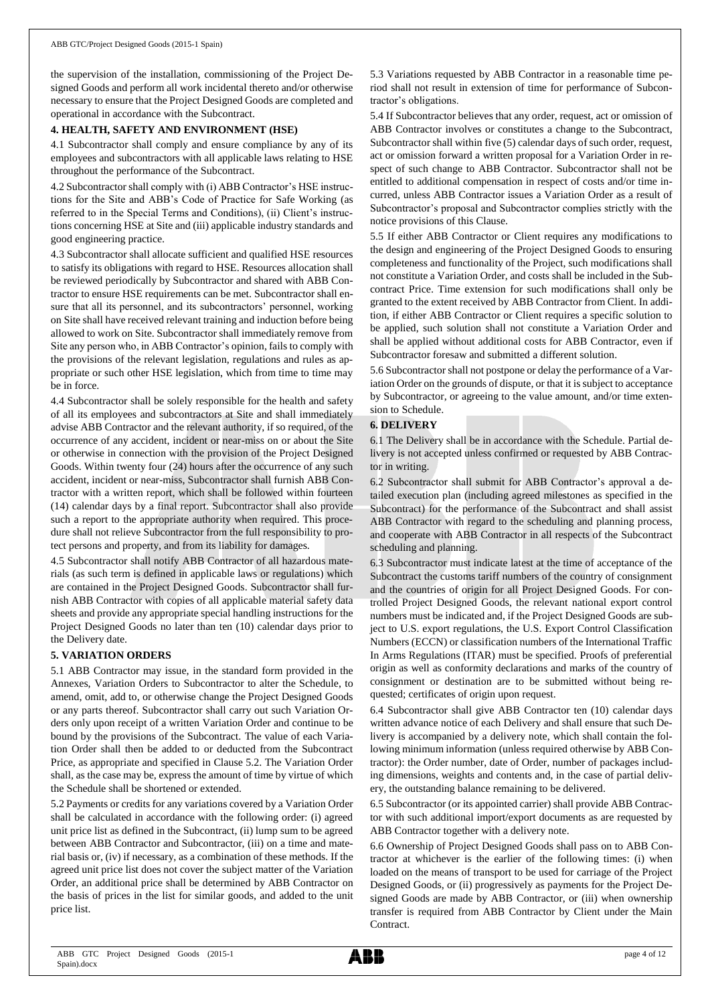the supervision of the installation, commissioning of the Project Designed Goods and perform all work incidental thereto and/or otherwise necessary to ensure that the Project Designed Goods are completed and operational in accordance with the Subcontract.

#### **4. HEALTH, SAFETY AND ENVIRONMENT (HSE)**

4.1 Subcontractor shall comply and ensure compliance by any of its employees and subcontractors with all applicable laws relating to HSE throughout the performance of the Subcontract.

4.2 Subcontractor shall comply with (i) ABB Contractor's HSE instructions for the Site and ABB's Code of Practice for Safe Working (as referred to in the Special Terms and Conditions), (ii) Client's instructions concerning HSE at Site and (iii) applicable industry standards and good engineering practice.

4.3 Subcontractor shall allocate sufficient and qualified HSE resources to satisfy its obligations with regard to HSE. Resources allocation shall be reviewed periodically by Subcontractor and shared with ABB Contractor to ensure HSE requirements can be met. Subcontractor shall ensure that all its personnel, and its subcontractors' personnel, working on Site shall have received relevant training and induction before being allowed to work on Site. Subcontractor shall immediately remove from Site any person who, in ABB Contractor's opinion, fails to comply with the provisions of the relevant legislation, regulations and rules as appropriate or such other HSE legislation, which from time to time may be in force.

4.4 Subcontractor shall be solely responsible for the health and safety of all its employees and subcontractors at Site and shall immediately advise ABB Contractor and the relevant authority, if so required, of the occurrence of any accident, incident or near-miss on or about the Site or otherwise in connection with the provision of the Project Designed Goods. Within twenty four (24) hours after the occurrence of any such accident, incident or near-miss, Subcontractor shall furnish ABB Contractor with a written report, which shall be followed within fourteen (14) calendar days by a final report. Subcontractor shall also provide such a report to the appropriate authority when required. This procedure shall not relieve Subcontractor from the full responsibility to protect persons and property, and from its liability for damages.

4.5 Subcontractor shall notify ABB Contractor of all hazardous materials (as such term is defined in applicable laws or regulations) which are contained in the Project Designed Goods. Subcontractor shall furnish ABB Contractor with copies of all applicable material safety data sheets and provide any appropriate special handling instructions for the Project Designed Goods no later than ten (10) calendar days prior to the Delivery date.

#### **5. VARIATION ORDERS**

5.1 ABB Contractor may issue, in the standard form provided in the Annexes, Variation Orders to Subcontractor to alter the Schedule, to amend, omit, add to, or otherwise change the Project Designed Goods or any parts thereof. Subcontractor shall carry out such Variation Orders only upon receipt of a written Variation Order and continue to be bound by the provisions of the Subcontract. The value of each Variation Order shall then be added to or deducted from the Subcontract Price, as appropriate and specified in Clause 5.2. The Variation Order shall, as the case may be, express the amount of time by virtue of which the Schedule shall be shortened or extended.

5.2 Payments or credits for any variations covered by a Variation Order shall be calculated in accordance with the following order: (i) agreed unit price list as defined in the Subcontract, (ii) lump sum to be agreed between ABB Contractor and Subcontractor, (iii) on a time and material basis or, (iv) if necessary, as a combination of these methods. If the agreed unit price list does not cover the subject matter of the Variation Order, an additional price shall be determined by ABB Contractor on the basis of prices in the list for similar goods, and added to the unit price list.

5.3 Variations requested by ABB Contractor in a reasonable time period shall not result in extension of time for performance of Subcontractor's obligations.

5.4 If Subcontractor believes that any order, request, act or omission of ABB Contractor involves or constitutes a change to the Subcontract, Subcontractor shall within five (5) calendar days of such order, request, act or omission forward a written proposal for a Variation Order in respect of such change to ABB Contractor. Subcontractor shall not be entitled to additional compensation in respect of costs and/or time incurred, unless ABB Contractor issues a Variation Order as a result of Subcontractor's proposal and Subcontractor complies strictly with the notice provisions of this Clause.

5.5 If either ABB Contractor or Client requires any modifications to the design and engineering of the Project Designed Goods to ensuring completeness and functionality of the Project, such modifications shall not constitute a Variation Order, and costs shall be included in the Subcontract Price. Time extension for such modifications shall only be granted to the extent received by ABB Contractor from Client. In addition, if either ABB Contractor or Client requires a specific solution to be applied, such solution shall not constitute a Variation Order and shall be applied without additional costs for ABB Contractor, even if Subcontractor foresaw and submitted a different solution.

5.6 Subcontractor shall not postpone or delay the performance of a Variation Order on the grounds of dispute, or that it is subject to acceptance by Subcontractor, or agreeing to the value amount, and/or time extension to Schedule.

### **6. DELIVERY**

6.1 The Delivery shall be in accordance with the Schedule. Partial delivery is not accepted unless confirmed or requested by ABB Contractor in writing.

6.2 Subcontractor shall submit for ABB Contractor's approval a detailed execution plan (including agreed milestones as specified in the Subcontract) for the performance of the Subcontract and shall assist ABB Contractor with regard to the scheduling and planning process, and cooperate with ABB Contractor in all respects of the Subcontract scheduling and planning.

6.3 Subcontractor must indicate latest at the time of acceptance of the Subcontract the customs tariff numbers of the country of consignment and the countries of origin for all Project Designed Goods. For controlled Project Designed Goods, the relevant national export control numbers must be indicated and, if the Project Designed Goods are subject to U.S. export regulations, the U.S. Export Control Classification Numbers (ECCN) or classification numbers of the International Traffic In Arms Regulations (ITAR) must be specified. Proofs of preferential origin as well as conformity declarations and marks of the country of consignment or destination are to be submitted without being requested; certificates of origin upon request.

6.4 Subcontractor shall give ABB Contractor ten (10) calendar days written advance notice of each Delivery and shall ensure that such Delivery is accompanied by a delivery note, which shall contain the following minimum information (unless required otherwise by ABB Contractor): the Order number, date of Order, number of packages including dimensions, weights and contents and, in the case of partial delivery, the outstanding balance remaining to be delivered.

6.5 Subcontractor (or its appointed carrier) shall provide ABB Contractor with such additional import/export documents as are requested by ABB Contractor together with a delivery note.

6.6 Ownership of Project Designed Goods shall pass on to ABB Contractor at whichever is the earlier of the following times: (i) when loaded on the means of transport to be used for carriage of the Project Designed Goods, or (ii) progressively as payments for the Project Designed Goods are made by ABB Contractor, or (iii) when ownership transfer is required from ABB Contractor by Client under the Main Contract.

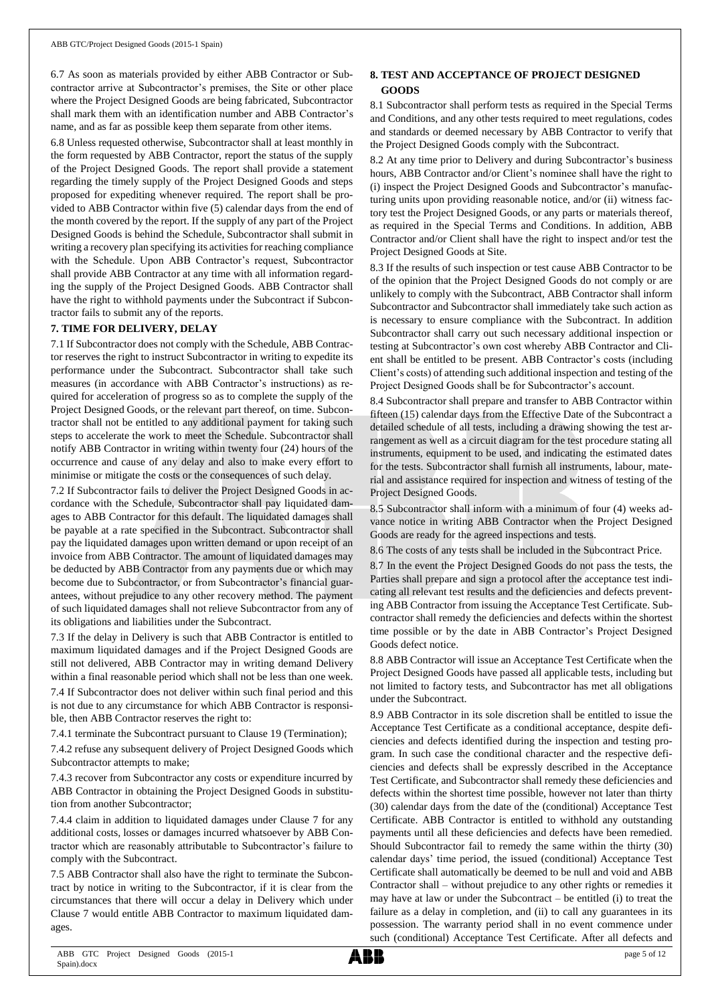6.7 As soon as materials provided by either ABB Contractor or Subcontractor arrive at Subcontractor's premises, the Site or other place where the Project Designed Goods are being fabricated, Subcontractor shall mark them with an identification number and ABB Contractor's name, and as far as possible keep them separate from other items.

6.8 Unless requested otherwise, Subcontractor shall at least monthly in the form requested by ABB Contractor, report the status of the supply of the Project Designed Goods. The report shall provide a statement regarding the timely supply of the Project Designed Goods and steps proposed for expediting whenever required. The report shall be provided to ABB Contractor within five (5) calendar days from the end of the month covered by the report. If the supply of any part of the Project Designed Goods is behind the Schedule, Subcontractor shall submit in writing a recovery plan specifying its activities for reaching compliance with the Schedule. Upon ABB Contractor's request, Subcontractor shall provide ABB Contractor at any time with all information regarding the supply of the Project Designed Goods. ABB Contractor shall have the right to withhold payments under the Subcontract if Subcontractor fails to submit any of the reports.

#### **7. TIME FOR DELIVERY, DELAY**

7.1 If Subcontractor does not comply with the Schedule, ABB Contractor reserves the right to instruct Subcontractor in writing to expedite its performance under the Subcontract. Subcontractor shall take such measures (in accordance with ABB Contractor's instructions) as required for acceleration of progress so as to complete the supply of the Project Designed Goods, or the relevant part thereof, on time. Subcontractor shall not be entitled to any additional payment for taking such steps to accelerate the work to meet the Schedule. Subcontractor shall notify ABB Contractor in writing within twenty four (24) hours of the occurrence and cause of any delay and also to make every effort to minimise or mitigate the costs or the consequences of such delay.

7.2 If Subcontractor fails to deliver the Project Designed Goods in accordance with the Schedule, Subcontractor shall pay liquidated damages to ABB Contractor for this default. The liquidated damages shall be payable at a rate specified in the Subcontract. Subcontractor shall pay the liquidated damages upon written demand or upon receipt of an invoice from ABB Contractor. The amount of liquidated damages may be deducted by ABB Contractor from any payments due or which may become due to Subcontractor, or from Subcontractor's financial guarantees, without prejudice to any other recovery method. The payment of such liquidated damages shall not relieve Subcontractor from any of its obligations and liabilities under the Subcontract.

7.3 If the delay in Delivery is such that ABB Contractor is entitled to maximum liquidated damages and if the Project Designed Goods are still not delivered, ABB Contractor may in writing demand Delivery within a final reasonable period which shall not be less than one week. 7.4 If Subcontractor does not deliver within such final period and this is not due to any circumstance for which ABB Contractor is responsible, then ABB Contractor reserves the right to:

7.4.1 terminate the Subcontract pursuant to Clause 19 (Termination);

7.4.2 refuse any subsequent delivery of Project Designed Goods which Subcontractor attempts to make;

7.4.3 recover from Subcontractor any costs or expenditure incurred by ABB Contractor in obtaining the Project Designed Goods in substitution from another Subcontractor;

7.4.4 claim in addition to liquidated damages under Clause 7 for any additional costs, losses or damages incurred whatsoever by ABB Contractor which are reasonably attributable to Subcontractor's failure to comply with the Subcontract.

7.5 ABB Contractor shall also have the right to terminate the Subcontract by notice in writing to the Subcontractor, if it is clear from the circumstances that there will occur a delay in Delivery which under Clause 7 would entitle ABB Contractor to maximum liquidated damages.

## **8. TEST AND ACCEPTANCE OF PROJECT DESIGNED GOODS**

8.1 Subcontractor shall perform tests as required in the Special Terms and Conditions, and any other tests required to meet regulations, codes and standards or deemed necessary by ABB Contractor to verify that the Project Designed Goods comply with the Subcontract.

8.2 At any time prior to Delivery and during Subcontractor's business hours, ABB Contractor and/or Client's nominee shall have the right to (i) inspect the Project Designed Goods and Subcontractor's manufacturing units upon providing reasonable notice, and/or (ii) witness factory test the Project Designed Goods, or any parts or materials thereof, as required in the Special Terms and Conditions. In addition, ABB Contractor and/or Client shall have the right to inspect and/or test the Project Designed Goods at Site.

8.3 If the results of such inspection or test cause ABB Contractor to be of the opinion that the Project Designed Goods do not comply or are unlikely to comply with the Subcontract, ABB Contractor shall inform Subcontractor and Subcontractor shall immediately take such action as is necessary to ensure compliance with the Subcontract. In addition Subcontractor shall carry out such necessary additional inspection or testing at Subcontractor's own cost whereby ABB Contractor and Client shall be entitled to be present. ABB Contractor's costs (including Client's costs) of attending such additional inspection and testing of the Project Designed Goods shall be for Subcontractor's account.

8.4 Subcontractor shall prepare and transfer to ABB Contractor within fifteen (15) calendar days from the Effective Date of the Subcontract a detailed schedule of all tests, including a drawing showing the test arrangement as well as a circuit diagram for the test procedure stating all instruments, equipment to be used, and indicating the estimated dates for the tests. Subcontractor shall furnish all instruments, labour, material and assistance required for inspection and witness of testing of the Project Designed Goods.

8.5 Subcontractor shall inform with a minimum of four (4) weeks advance notice in writing ABB Contractor when the Project Designed Goods are ready for the agreed inspections and tests.

8.6 The costs of any tests shall be included in the Subcontract Price.

8.7 In the event the Project Designed Goods do not pass the tests, the Parties shall prepare and sign a protocol after the acceptance test indicating all relevant test results and the deficiencies and defects preventing ABB Contractor from issuing the Acceptance Test Certificate. Subcontractor shall remedy the deficiencies and defects within the shortest time possible or by the date in ABB Contractor's Project Designed Goods defect notice.

8.8 ABB Contractor will issue an Acceptance Test Certificate when the Project Designed Goods have passed all applicable tests, including but not limited to factory tests, and Subcontractor has met all obligations under the Subcontract.

8.9 ABB Contractor in its sole discretion shall be entitled to issue the Acceptance Test Certificate as a conditional acceptance, despite deficiencies and defects identified during the inspection and testing program. In such case the conditional character and the respective deficiencies and defects shall be expressly described in the Acceptance Test Certificate, and Subcontractor shall remedy these deficiencies and defects within the shortest time possible, however not later than thirty (30) calendar days from the date of the (conditional) Acceptance Test Certificate. ABB Contractor is entitled to withhold any outstanding payments until all these deficiencies and defects have been remedied. Should Subcontractor fail to remedy the same within the thirty (30) calendar days' time period, the issued (conditional) Acceptance Test Certificate shall automatically be deemed to be null and void and ABB Contractor shall – without prejudice to any other rights or remedies it may have at law or under the Subcontract – be entitled (i) to treat the failure as a delay in completion, and (ii) to call any guarantees in its possession. The warranty period shall in no event commence under such (conditional) Acceptance Test Certificate. After all defects and

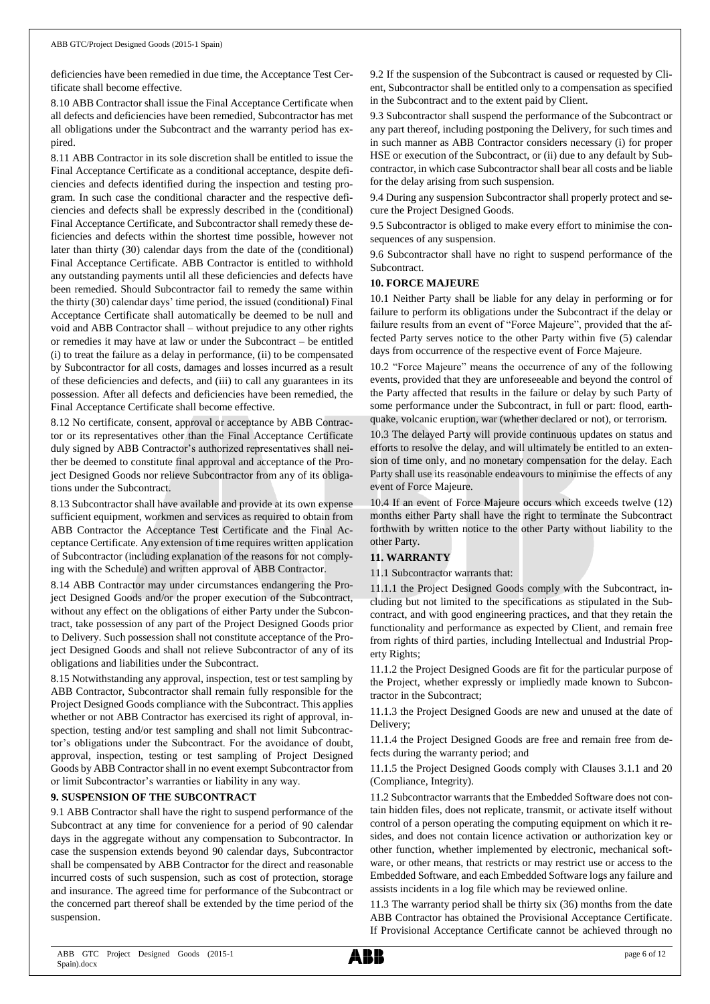deficiencies have been remedied in due time, the Acceptance Test Certificate shall become effective.

8.10 ABB Contractor shall issue the Final Acceptance Certificate when all defects and deficiencies have been remedied, Subcontractor has met all obligations under the Subcontract and the warranty period has expired.

8.11 ABB Contractor in its sole discretion shall be entitled to issue the Final Acceptance Certificate as a conditional acceptance, despite deficiencies and defects identified during the inspection and testing program. In such case the conditional character and the respective deficiencies and defects shall be expressly described in the (conditional) Final Acceptance Certificate, and Subcontractor shall remedy these deficiencies and defects within the shortest time possible, however not later than thirty (30) calendar days from the date of the (conditional) Final Acceptance Certificate. ABB Contractor is entitled to withhold any outstanding payments until all these deficiencies and defects have been remedied. Should Subcontractor fail to remedy the same within the thirty (30) calendar days' time period, the issued (conditional) Final Acceptance Certificate shall automatically be deemed to be null and void and ABB Contractor shall – without prejudice to any other rights or remedies it may have at law or under the Subcontract – be entitled (i) to treat the failure as a delay in performance, (ii) to be compensated by Subcontractor for all costs, damages and losses incurred as a result of these deficiencies and defects, and (iii) to call any guarantees in its possession. After all defects and deficiencies have been remedied, the Final Acceptance Certificate shall become effective.

8.12 No certificate, consent, approval or acceptance by ABB Contractor or its representatives other than the Final Acceptance Certificate duly signed by ABB Contractor's authorized representatives shall neither be deemed to constitute final approval and acceptance of the Project Designed Goods nor relieve Subcontractor from any of its obligations under the Subcontract.

8.13 Subcontractor shall have available and provide at its own expense sufficient equipment, workmen and services as required to obtain from ABB Contractor the Acceptance Test Certificate and the Final Acceptance Certificate. Any extension of time requires written application of Subcontractor (including explanation of the reasons for not complying with the Schedule) and written approval of ABB Contractor.

8.14 ABB Contractor may under circumstances endangering the Project Designed Goods and/or the proper execution of the Subcontract, without any effect on the obligations of either Party under the Subcontract, take possession of any part of the Project Designed Goods prior to Delivery. Such possession shall not constitute acceptance of the Project Designed Goods and shall not relieve Subcontractor of any of its obligations and liabilities under the Subcontract.

8.15 Notwithstanding any approval, inspection, test or test sampling by ABB Contractor, Subcontractor shall remain fully responsible for the Project Designed Goods compliance with the Subcontract. This applies whether or not ABB Contractor has exercised its right of approval, inspection, testing and/or test sampling and shall not limit Subcontractor's obligations under the Subcontract. For the avoidance of doubt, approval, inspection, testing or test sampling of Project Designed Goods by ABB Contractor shall in no event exempt Subcontractor from or limit Subcontractor's warranties or liability in any way.

#### **9. SUSPENSION OF THE SUBCONTRACT**

9.1 ABB Contractor shall have the right to suspend performance of the Subcontract at any time for convenience for a period of 90 calendar days in the aggregate without any compensation to Subcontractor. In case the suspension extends beyond 90 calendar days, Subcontractor shall be compensated by ABB Contractor for the direct and reasonable incurred costs of such suspension, such as cost of protection, storage and insurance. The agreed time for performance of the Subcontract or the concerned part thereof shall be extended by the time period of the suspension.

9.2 If the suspension of the Subcontract is caused or requested by Client, Subcontractor shall be entitled only to a compensation as specified in the Subcontract and to the extent paid by Client.

9.3 Subcontractor shall suspend the performance of the Subcontract or any part thereof, including postponing the Delivery, for such times and in such manner as ABB Contractor considers necessary (i) for proper HSE or execution of the Subcontract, or (ii) due to any default by Subcontractor, in which case Subcontractor shall bear all costs and be liable for the delay arising from such suspension.

9.4 During any suspension Subcontractor shall properly protect and secure the Project Designed Goods.

9.5 Subcontractor is obliged to make every effort to minimise the consequences of any suspension.

9.6 Subcontractor shall have no right to suspend performance of the Subcontract.

#### **10. FORCE MAJEURE**

10.1 Neither Party shall be liable for any delay in performing or for failure to perform its obligations under the Subcontract if the delay or failure results from an event of "Force Majeure", provided that the affected Party serves notice to the other Party within five (5) calendar days from occurrence of the respective event of Force Majeure.

10.2 "Force Majeure" means the occurrence of any of the following events, provided that they are unforeseeable and beyond the control of the Party affected that results in the failure or delay by such Party of some performance under the Subcontract, in full or part: flood, earthquake, volcanic eruption, war (whether declared or not), or terrorism.

10.3 The delayed Party will provide continuous updates on status and efforts to resolve the delay, and will ultimately be entitled to an extension of time only, and no monetary compensation for the delay. Each Party shall use its reasonable endeavours to minimise the effects of any event of Force Majeure.

10.4 If an event of Force Majeure occurs which exceeds twelve (12) months either Party shall have the right to terminate the Subcontract forthwith by written notice to the other Party without liability to the other Party.

### **11. WARRANTY**

11.1 Subcontractor warrants that:

11.1.1 the Project Designed Goods comply with the Subcontract, including but not limited to the specifications as stipulated in the Subcontract, and with good engineering practices, and that they retain the functionality and performance as expected by Client, and remain free from rights of third parties, including Intellectual and Industrial Property Rights;

11.1.2 the Project Designed Goods are fit for the particular purpose of the Project, whether expressly or impliedly made known to Subcontractor in the Subcontract;

11.1.3 the Project Designed Goods are new and unused at the date of Delivery;

11.1.4 the Project Designed Goods are free and remain free from defects during the warranty period; and

11.1.5 the Project Designed Goods comply with Clauses 3.1.1 and 20 (Compliance, Integrity).

11.2 Subcontractor warrants that the Embedded Software does not contain hidden files, does not replicate, transmit, or activate itself without control of a person operating the computing equipment on which it resides, and does not contain licence activation or authorization key or other function, whether implemented by electronic, mechanical software, or other means, that restricts or may restrict use or access to the Embedded Software, and each Embedded Software logs any failure and assists incidents in a log file which may be reviewed online.

11.3 The warranty period shall be thirty six (36) months from the date ABB Contractor has obtained the Provisional Acceptance Certificate. If Provisional Acceptance Certificate cannot be achieved through no

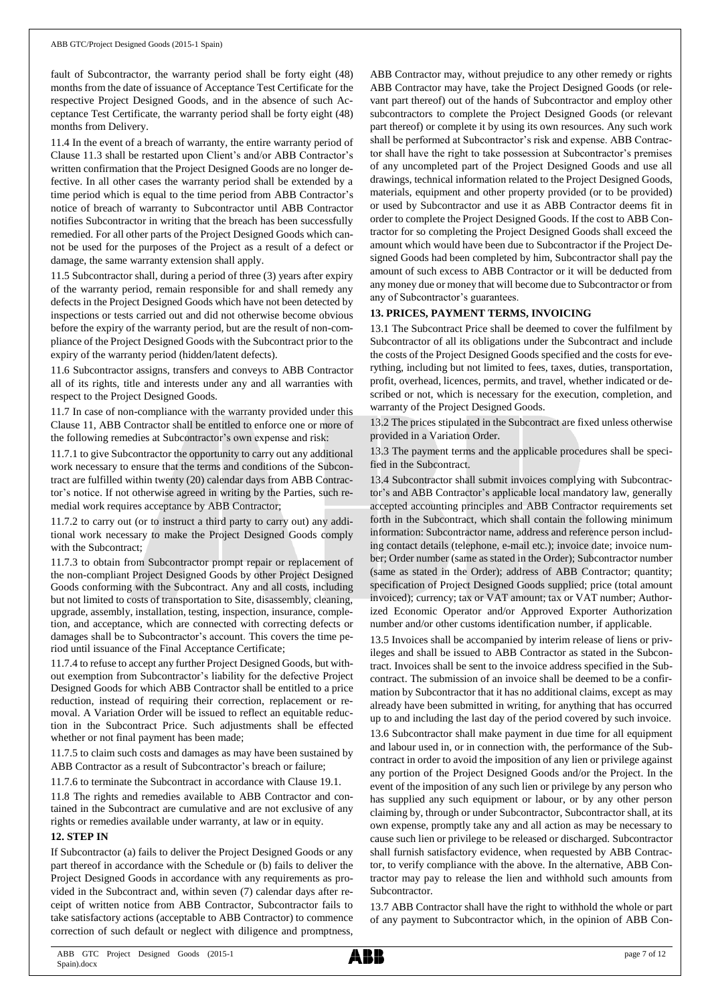fault of Subcontractor, the warranty period shall be forty eight (48) months from the date of issuance of Acceptance Test Certificate for the respective Project Designed Goods, and in the absence of such Acceptance Test Certificate, the warranty period shall be forty eight (48) months from Delivery.

11.4 In the event of a breach of warranty, the entire warranty period of Clause 11.3 shall be restarted upon Client's and/or ABB Contractor's written confirmation that the Project Designed Goods are no longer defective. In all other cases the warranty period shall be extended by a time period which is equal to the time period from ABB Contractor's notice of breach of warranty to Subcontractor until ABB Contractor notifies Subcontractor in writing that the breach has been successfully remedied. For all other parts of the Project Designed Goods which cannot be used for the purposes of the Project as a result of a defect or damage, the same warranty extension shall apply.

11.5 Subcontractor shall, during a period of three (3) years after expiry of the warranty period, remain responsible for and shall remedy any defects in the Project Designed Goods which have not been detected by inspections or tests carried out and did not otherwise become obvious before the expiry of the warranty period, but are the result of non-compliance of the Project Designed Goods with the Subcontract prior to the expiry of the warranty period (hidden/latent defects).

11.6 Subcontractor assigns, transfers and conveys to ABB Contractor all of its rights, title and interests under any and all warranties with respect to the Project Designed Goods.

11.7 In case of non-compliance with the warranty provided under this Clause 11, ABB Contractor shall be entitled to enforce one or more of the following remedies at Subcontractor's own expense and risk:

11.7.1 to give Subcontractor the opportunity to carry out any additional work necessary to ensure that the terms and conditions of the Subcontract are fulfilled within twenty (20) calendar days from ABB Contractor's notice. If not otherwise agreed in writing by the Parties, such remedial work requires acceptance by ABB Contractor;

11.7.2 to carry out (or to instruct a third party to carry out) any additional work necessary to make the Project Designed Goods comply with the Subcontract;

11.7.3 to obtain from Subcontractor prompt repair or replacement of the non-compliant Project Designed Goods by other Project Designed Goods conforming with the Subcontract. Any and all costs, including but not limited to costs of transportation to Site, disassembly, cleaning, upgrade, assembly, installation, testing, inspection, insurance, completion, and acceptance, which are connected with correcting defects or damages shall be to Subcontractor's account. This covers the time period until issuance of the Final Acceptance Certificate;

11.7.4 to refuse to accept any further Project Designed Goods, but without exemption from Subcontractor's liability for the defective Project Designed Goods for which ABB Contractor shall be entitled to a price reduction, instead of requiring their correction, replacement or removal. A Variation Order will be issued to reflect an equitable reduction in the Subcontract Price. Such adjustments shall be effected whether or not final payment has been made;

11.7.5 to claim such costs and damages as may have been sustained by ABB Contractor as a result of Subcontractor's breach or failure;

11.7.6 to terminate the Subcontract in accordance with Clause 19.1.

11.8 The rights and remedies available to ABB Contractor and contained in the Subcontract are cumulative and are not exclusive of any rights or remedies available under warranty, at law or in equity.

#### **12. STEP IN**

If Subcontractor (a) fails to deliver the Project Designed Goods or any part thereof in accordance with the Schedule or (b) fails to deliver the Project Designed Goods in accordance with any requirements as provided in the Subcontract and, within seven (7) calendar days after receipt of written notice from ABB Contractor, Subcontractor fails to take satisfactory actions (acceptable to ABB Contractor) to commence correction of such default or neglect with diligence and promptness,

ABB Contractor may, without prejudice to any other remedy or rights ABB Contractor may have, take the Project Designed Goods (or relevant part thereof) out of the hands of Subcontractor and employ other subcontractors to complete the Project Designed Goods (or relevant part thereof) or complete it by using its own resources. Any such work shall be performed at Subcontractor's risk and expense. ABB Contractor shall have the right to take possession at Subcontractor's premises of any uncompleted part of the Project Designed Goods and use all drawings, technical information related to the Project Designed Goods, materials, equipment and other property provided (or to be provided) or used by Subcontractor and use it as ABB Contractor deems fit in order to complete the Project Designed Goods. If the cost to ABB Contractor for so completing the Project Designed Goods shall exceed the amount which would have been due to Subcontractor if the Project Designed Goods had been completed by him, Subcontractor shall pay the amount of such excess to ABB Contractor or it will be deducted from any money due or money that will become due to Subcontractor or from any of Subcontractor's guarantees.

### **13. PRICES, PAYMENT TERMS, INVOICING**

13.1 The Subcontract Price shall be deemed to cover the fulfilment by Subcontractor of all its obligations under the Subcontract and include the costs of the Project Designed Goods specified and the costs for everything, including but not limited to fees, taxes, duties, transportation, profit, overhead, licences, permits, and travel, whether indicated or described or not, which is necessary for the execution, completion, and warranty of the Project Designed Goods.

13.2 The prices stipulated in the Subcontract are fixed unless otherwise provided in a Variation Order.

13.3 The payment terms and the applicable procedures shall be specified in the Subcontract.

13.4 Subcontractor shall submit invoices complying with Subcontractor's and ABB Contractor's applicable local mandatory law, generally accepted accounting principles and ABB Contractor requirements set forth in the Subcontract, which shall contain the following minimum information: Subcontractor name, address and reference person including contact details (telephone, e-mail etc.); invoice date; invoice number; Order number (same as stated in the Order); Subcontractor number (same as stated in the Order); address of ABB Contractor; quantity; specification of Project Designed Goods supplied; price (total amount invoiced); currency; tax or VAT amount; tax or VAT number; Authorized Economic Operator and/or Approved Exporter Authorization number and/or other customs identification number, if applicable.

13.5 Invoices shall be accompanied by interim release of liens or privileges and shall be issued to ABB Contractor as stated in the Subcontract. Invoices shall be sent to the invoice address specified in the Subcontract. The submission of an invoice shall be deemed to be a confirmation by Subcontractor that it has no additional claims, except as may already have been submitted in writing, for anything that has occurred up to and including the last day of the period covered by such invoice.

13.6 Subcontractor shall make payment in due time for all equipment and labour used in, or in connection with, the performance of the Subcontract in order to avoid the imposition of any lien or privilege against any portion of the Project Designed Goods and/or the Project. In the event of the imposition of any such lien or privilege by any person who has supplied any such equipment or labour, or by any other person claiming by, through or under Subcontractor, Subcontractor shall, at its own expense, promptly take any and all action as may be necessary to cause such lien or privilege to be released or discharged. Subcontractor shall furnish satisfactory evidence, when requested by ABB Contractor, to verify compliance with the above. In the alternative, ABB Contractor may pay to release the lien and withhold such amounts from Subcontractor.

13.7 ABB Contractor shall have the right to withhold the whole or part of any payment to Subcontractor which, in the opinion of ABB Con-

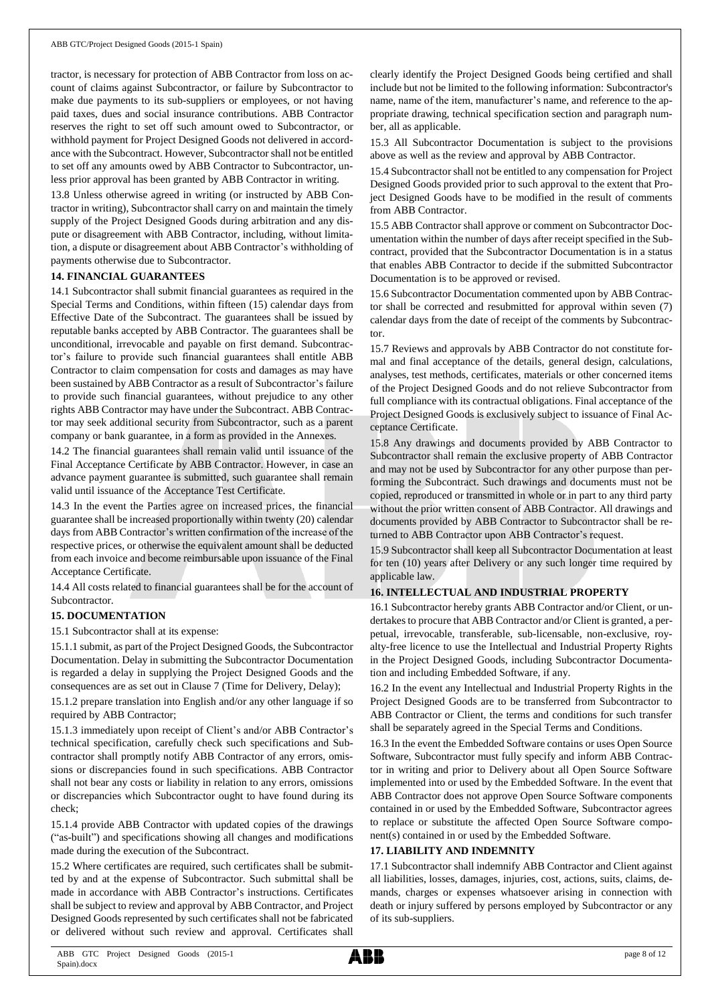tractor, is necessary for protection of ABB Contractor from loss on account of claims against Subcontractor, or failure by Subcontractor to make due payments to its sub-suppliers or employees, or not having paid taxes, dues and social insurance contributions. ABB Contractor reserves the right to set off such amount owed to Subcontractor, or withhold payment for Project Designed Goods not delivered in accordance with the Subcontract. However, Subcontractor shall not be entitled to set off any amounts owed by ABB Contractor to Subcontractor, unless prior approval has been granted by ABB Contractor in writing.

13.8 Unless otherwise agreed in writing (or instructed by ABB Contractor in writing), Subcontractorshall carry on and maintain the timely supply of the Project Designed Goods during arbitration and any dispute or disagreement with ABB Contractor, including, without limitation, a dispute or disagreement about ABB Contractor's withholding of payments otherwise due to Subcontractor.

#### **14. FINANCIAL GUARANTEES**

14.1 Subcontractor shall submit financial guarantees as required in the Special Terms and Conditions, within fifteen (15) calendar days from Effective Date of the Subcontract. The guarantees shall be issued by reputable banks accepted by ABB Contractor. The guarantees shall be unconditional, irrevocable and payable on first demand. Subcontractor's failure to provide such financial guarantees shall entitle ABB Contractor to claim compensation for costs and damages as may have been sustained by ABB Contractor as a result of Subcontractor's failure to provide such financial guarantees, without prejudice to any other rights ABB Contractor may have under the Subcontract. ABB Contractor may seek additional security from Subcontractor, such as a parent company or bank guarantee, in a form as provided in the Annexes.

14.2 The financial guarantees shall remain valid until issuance of the Final Acceptance Certificate by ABB Contractor. However, in case an advance payment guarantee is submitted, such guarantee shall remain valid until issuance of the Acceptance Test Certificate.

14.3 In the event the Parties agree on increased prices, the financial guarantee shall be increased proportionally within twenty (20) calendar days from ABB Contractor's written confirmation of the increase of the respective prices, or otherwise the equivalent amount shall be deducted from each invoice and become reimbursable upon issuance of the Final Acceptance Certificate.

14.4 All costs related to financial guarantees shall be for the account of **Subcontractor** 

#### **15. DOCUMENTATION**

15.1 Subcontractor shall at its expense:

15.1.1 submit, as part of the Project Designed Goods, the Subcontractor Documentation. Delay in submitting the Subcontractor Documentation is regarded a delay in supplying the Project Designed Goods and the consequences are as set out in Clause 7 (Time for Delivery, Delay);

15.1.2 prepare translation into English and/or any other language if so required by ABB Contractor;

15.1.3 immediately upon receipt of Client's and/or ABB Contractor's technical specification, carefully check such specifications and Subcontractor shall promptly notify ABB Contractor of any errors, omissions or discrepancies found in such specifications. ABB Contractor shall not bear any costs or liability in relation to any errors, omissions or discrepancies which Subcontractor ought to have found during its check;

15.1.4 provide ABB Contractor with updated copies of the drawings ("as-built") and specifications showing all changes and modifications made during the execution of the Subcontract.

15.2 Where certificates are required, such certificates shall be submitted by and at the expense of Subcontractor. Such submittal shall be made in accordance with ABB Contractor's instructions. Certificates shall be subject to review and approval by ABB Contractor, and Project Designed Goods represented by such certificates shall not be fabricated or delivered without such review and approval. Certificates shall

clearly identify the Project Designed Goods being certified and shall include but not be limited to the following information: Subcontractor's name, name of the item, manufacturer's name, and reference to the appropriate drawing, technical specification section and paragraph number, all as applicable.

15.3 All Subcontractor Documentation is subject to the provisions above as well as the review and approval by ABB Contractor.

15.4 Subcontractorshall not be entitled to any compensation for Project Designed Goods provided prior to such approval to the extent that Project Designed Goods have to be modified in the result of comments from ABB Contractor.

15.5 ABB Contractor shall approve or comment on Subcontractor Documentation within the number of days after receipt specified in the Subcontract, provided that the Subcontractor Documentation is in a status that enables ABB Contractor to decide if the submitted Subcontractor Documentation is to be approved or revised.

15.6 Subcontractor Documentation commented upon by ABB Contractor shall be corrected and resubmitted for approval within seven (7) calendar days from the date of receipt of the comments by Subcontractor.

15.7 Reviews and approvals by ABB Contractor do not constitute formal and final acceptance of the details, general design, calculations, analyses, test methods, certificates, materials or other concerned items of the Project Designed Goods and do not relieve Subcontractor from full compliance with its contractual obligations. Final acceptance of the Project Designed Goods is exclusively subject to issuance of Final Acceptance Certificate.

15.8 Any drawings and documents provided by ABB Contractor to Subcontractor shall remain the exclusive property of ABB Contractor and may not be used by Subcontractor for any other purpose than performing the Subcontract. Such drawings and documents must not be copied, reproduced or transmitted in whole or in part to any third party without the prior written consent of ABB Contractor. All drawings and documents provided by ABB Contractor to Subcontractor shall be returned to ABB Contractor upon ABB Contractor's request.

15.9 Subcontractor shall keep all Subcontractor Documentation at least for ten (10) years after Delivery or any such longer time required by applicable law.

#### **16. INTELLECTUAL AND INDUSTRIAL PROPERTY**

16.1 Subcontractor hereby grants ABB Contractor and/or Client, or undertakes to procure that ABB Contractor and/or Client is granted, a perpetual, irrevocable, transferable, sub-licensable, non-exclusive, royalty-free licence to use the Intellectual and Industrial Property Rights in the Project Designed Goods, including Subcontractor Documentation and including Embedded Software, if any.

16.2 In the event any Intellectual and Industrial Property Rights in the Project Designed Goods are to be transferred from Subcontractor to ABB Contractor or Client, the terms and conditions for such transfer shall be separately agreed in the Special Terms and Conditions.

16.3 In the event the Embedded Software contains or uses Open Source Software, Subcontractor must fully specify and inform ABB Contractor in writing and prior to Delivery about all Open Source Software implemented into or used by the Embedded Software. In the event that ABB Contractor does not approve Open Source Software components contained in or used by the Embedded Software, Subcontractor agrees to replace or substitute the affected Open Source Software component(s) contained in or used by the Embedded Software.

#### **17. LIABILITY AND INDEMNITY**

17.1 Subcontractor shall indemnify ABB Contractor and Client against all liabilities, losses, damages, injuries, cost, actions, suits, claims, demands, charges or expenses whatsoever arising in connection with death or injury suffered by persons employed by Subcontractor or any of its sub-suppliers.

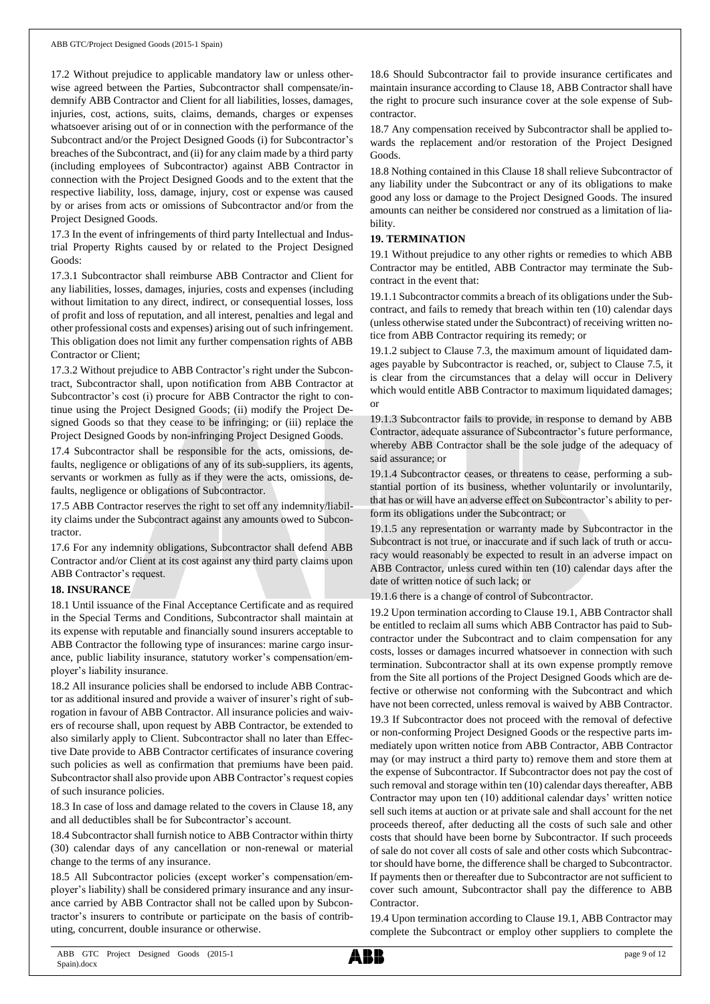17.2 Without prejudice to applicable mandatory law or unless otherwise agreed between the Parties, Subcontractor shall compensate/indemnify ABB Contractor and Client for all liabilities, losses, damages, injuries, cost, actions, suits, claims, demands, charges or expenses whatsoever arising out of or in connection with the performance of the Subcontract and/or the Project Designed Goods (i) for Subcontractor's breaches of the Subcontract, and (ii) for any claim made by a third party (including employees of Subcontractor) against ABB Contractor in connection with the Project Designed Goods and to the extent that the respective liability, loss, damage, injury, cost or expense was caused by or arises from acts or omissions of Subcontractor and/or from the Project Designed Goods.

17.3 In the event of infringements of third party Intellectual and Industrial Property Rights caused by or related to the Project Designed Goods:

17.3.1 Subcontractor shall reimburse ABB Contractor and Client for any liabilities, losses, damages, injuries, costs and expenses (including without limitation to any direct, indirect, or consequential losses, loss of profit and loss of reputation, and all interest, penalties and legal and other professional costs and expenses) arising out of such infringement. This obligation does not limit any further compensation rights of ABB Contractor or Client;

17.3.2 Without prejudice to ABB Contractor's right under the Subcontract, Subcontractor shall, upon notification from ABB Contractor at Subcontractor's cost (i) procure for ABB Contractor the right to continue using the Project Designed Goods; (ii) modify the Project Designed Goods so that they cease to be infringing; or (iii) replace the Project Designed Goods by non-infringing Project Designed Goods.

17.4 Subcontractor shall be responsible for the acts, omissions, defaults, negligence or obligations of any of its sub-suppliers, its agents, servants or workmen as fully as if they were the acts, omissions, defaults, negligence or obligations of Subcontractor.

17.5 ABB Contractor reserves the right to set off any indemnity/liability claims under the Subcontract against any amounts owed to Subcontractor.

17.6 For any indemnity obligations, Subcontractor shall defend ABB Contractor and/or Client at its cost against any third party claims upon ABB Contractor's request.

#### **18. INSURANCE**

18.1 Until issuance of the Final Acceptance Certificate and as required in the Special Terms and Conditions, Subcontractor shall maintain at its expense with reputable and financially sound insurers acceptable to ABB Contractor the following type of insurances: marine cargo insurance, public liability insurance, statutory worker's compensation/employer's liability insurance.

18.2 All insurance policies shall be endorsed to include ABB Contractor as additional insured and provide a waiver of insurer's right of subrogation in favour of ABB Contractor. All insurance policies and waivers of recourse shall, upon request by ABB Contractor, be extended to also similarly apply to Client. Subcontractor shall no later than Effective Date provide to ABB Contractor certificates of insurance covering such policies as well as confirmation that premiums have been paid. Subcontractor shall also provide upon ABB Contractor's request copies of such insurance policies.

18.3 In case of loss and damage related to the covers in Clause 18, any and all deductibles shall be for Subcontractor's account.

18.4 Subcontractor shall furnish notice to ABB Contractor within thirty (30) calendar days of any cancellation or non-renewal or material change to the terms of any insurance.

18.5 All Subcontractor policies (except worker's compensation/employer's liability) shall be considered primary insurance and any insurance carried by ABB Contractor shall not be called upon by Subcontractor's insurers to contribute or participate on the basis of contributing, concurrent, double insurance or otherwise.

18.6 Should Subcontractor fail to provide insurance certificates and maintain insurance according to Clause 18, ABB Contractor shall have the right to procure such insurance cover at the sole expense of Subcontractor.

18.7 Any compensation received by Subcontractor shall be applied towards the replacement and/or restoration of the Project Designed Goods.

18.8 Nothing contained in this Clause 18 shall relieve Subcontractor of any liability under the Subcontract or any of its obligations to make good any loss or damage to the Project Designed Goods. The insured amounts can neither be considered nor construed as a limitation of liability.

#### **19. TERMINATION**

19.1 Without prejudice to any other rights or remedies to which ABB Contractor may be entitled, ABB Contractor may terminate the Subcontract in the event that:

19.1.1 Subcontractor commits a breach of its obligations under the Subcontract, and fails to remedy that breach within ten (10) calendar days (unless otherwise stated under the Subcontract) of receiving written notice from ABB Contractor requiring its remedy; or

19.1.2 subject to Clause 7.3, the maximum amount of liquidated damages payable by Subcontractor is reached, or, subject to Clause 7.5, it is clear from the circumstances that a delay will occur in Delivery which would entitle ABB Contractor to maximum liquidated damages; or

19.1.3 Subcontractor fails to provide, in response to demand by ABB Contractor, adequate assurance of Subcontractor's future performance, whereby ABB Contractor shall be the sole judge of the adequacy of said assurance; or

19.1.4 Subcontractor ceases, or threatens to cease, performing a substantial portion of its business, whether voluntarily or involuntarily, that has or will have an adverse effect on Subcontractor's ability to perform its obligations under the Subcontract; or

19.1.5 any representation or warranty made by Subcontractor in the Subcontract is not true, or inaccurate and if such lack of truth or accuracy would reasonably be expected to result in an adverse impact on ABB Contractor, unless cured within ten (10) calendar days after the date of written notice of such lack; or

19.1.6 there is a change of control of Subcontractor.

19.2 Upon termination according to Clause 19.1, ABB Contractor shall be entitled to reclaim all sums which ABB Contractor has paid to Subcontractor under the Subcontract and to claim compensation for any costs, losses or damages incurred whatsoever in connection with such termination. Subcontractor shall at its own expense promptly remove from the Site all portions of the Project Designed Goods which are defective or otherwise not conforming with the Subcontract and which have not been corrected, unless removal is waived by ABB Contractor.

19.3 If Subcontractor does not proceed with the removal of defective or non-conforming Project Designed Goods or the respective parts immediately upon written notice from ABB Contractor, ABB Contractor may (or may instruct a third party to) remove them and store them at the expense of Subcontractor. If Subcontractor does not pay the cost of such removal and storage within ten (10) calendar days thereafter, ABB Contractor may upon ten (10) additional calendar days' written notice sell such items at auction or at private sale and shall account for the net proceeds thereof, after deducting all the costs of such sale and other costs that should have been borne by Subcontractor. If such proceeds of sale do not cover all costs of sale and other costs which Subcontractor should have borne, the difference shall be charged to Subcontractor. If payments then or thereafter due to Subcontractor are not sufficient to cover such amount, Subcontractor shall pay the difference to ABB Contractor.

19.4 Upon termination according to Clause 19.1, ABB Contractor may complete the Subcontract or employ other suppliers to complete the

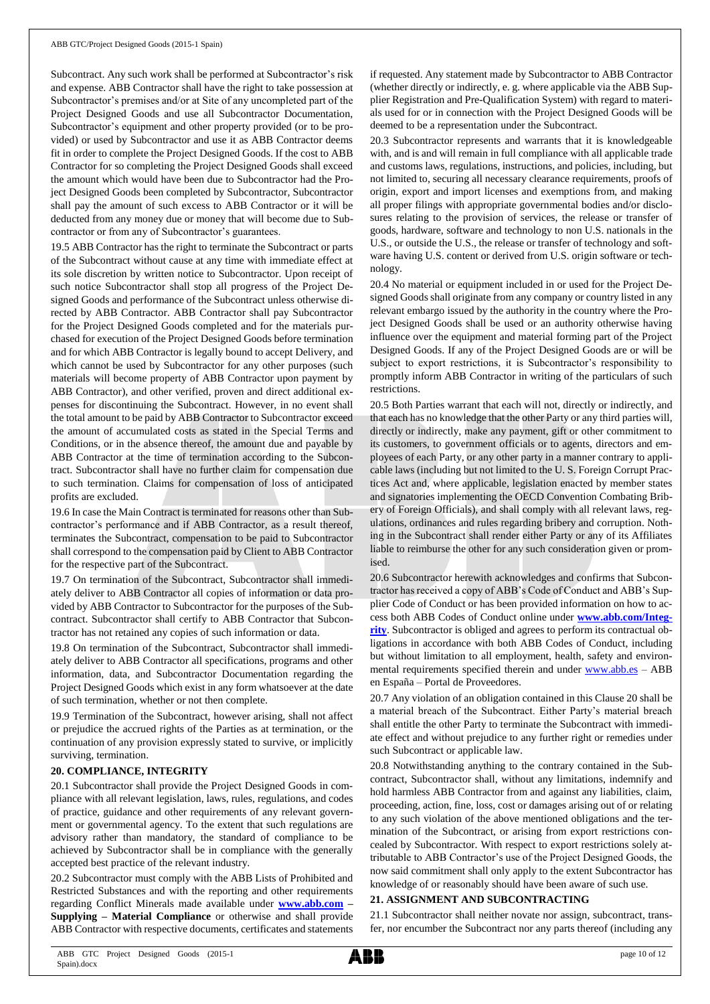Subcontract. Any such work shall be performed at Subcontractor's risk and expense. ABB Contractor shall have the right to take possession at Subcontractor's premises and/or at Site of any uncompleted part of the Project Designed Goods and use all Subcontractor Documentation, Subcontractor's equipment and other property provided (or to be provided) or used by Subcontractor and use it as ABB Contractor deems fit in order to complete the Project Designed Goods. If the cost to ABB Contractor for so completing the Project Designed Goods shall exceed the amount which would have been due to Subcontractor had the Project Designed Goods been completed by Subcontractor, Subcontractor shall pay the amount of such excess to ABB Contractor or it will be deducted from any money due or money that will become due to Subcontractor or from any of Subcontractor's guarantees.

19.5 ABB Contractor has the right to terminate the Subcontract or parts of the Subcontract without cause at any time with immediate effect at its sole discretion by written notice to Subcontractor. Upon receipt of such notice Subcontractor shall stop all progress of the Project Designed Goods and performance of the Subcontract unless otherwise directed by ABB Contractor. ABB Contractor shall pay Subcontractor for the Project Designed Goods completed and for the materials purchased for execution of the Project Designed Goods before termination and for which ABB Contractor is legally bound to accept Delivery, and which cannot be used by Subcontractor for any other purposes (such materials will become property of ABB Contractor upon payment by ABB Contractor), and other verified, proven and direct additional expenses for discontinuing the Subcontract. However, in no event shall the total amount to be paid by ABB Contractor to Subcontractor exceed the amount of accumulated costs as stated in the Special Terms and Conditions, or in the absence thereof, the amount due and payable by ABB Contractor at the time of termination according to the Subcontract. Subcontractor shall have no further claim for compensation due to such termination. Claims for compensation of loss of anticipated profits are excluded.

19.6 In case the Main Contract is terminated for reasons other than Subcontractor's performance and if ABB Contractor, as a result thereof, terminates the Subcontract, compensation to be paid to Subcontractor shall correspond to the compensation paid by Client to ABB Contractor for the respective part of the Subcontract.

19.7 On termination of the Subcontract, Subcontractor shall immediately deliver to ABB Contractor all copies of information or data provided by ABB Contractor to Subcontractor for the purposes of the Subcontract. Subcontractor shall certify to ABB Contractor that Subcontractor has not retained any copies of such information or data.

19.8 On termination of the Subcontract, Subcontractor shall immediately deliver to ABB Contractor all specifications, programs and other information, data, and Subcontractor Documentation regarding the Project Designed Goods which exist in any form whatsoever at the date of such termination, whether or not then complete.

19.9 Termination of the Subcontract, however arising, shall not affect or prejudice the accrued rights of the Parties as at termination, or the continuation of any provision expressly stated to survive, or implicitly surviving, termination.

## **20. COMPLIANCE, INTEGRITY**

20.1 Subcontractor shall provide the Project Designed Goods in compliance with all relevant legislation, laws, rules, regulations, and codes of practice, guidance and other requirements of any relevant government or governmental agency. To the extent that such regulations are advisory rather than mandatory, the standard of compliance to be achieved by Subcontractor shall be in compliance with the generally accepted best practice of the relevant industry.

20.2 Subcontractor must comply with the ABB Lists of Prohibited and Restricted Substances and with the reporting and other requirements regarding Conflict Minerals made available under **[www.abb.com](http://www.abb.com/) – Supplying – Material Compliance** or otherwise and shall provide ABB Contractor with respective documents, certificates and statements

if requested. Any statement made by Subcontractor to ABB Contractor (whether directly or indirectly, e. g. where applicable via the ABB Supplier Registration and Pre-Qualification System) with regard to materials used for or in connection with the Project Designed Goods will be deemed to be a representation under the Subcontract.

20.3 Subcontractor represents and warrants that it is knowledgeable with, and is and will remain in full compliance with all applicable trade and customs laws, regulations, instructions, and policies, including, but not limited to, securing all necessary clearance requirements, proofs of origin, export and import licenses and exemptions from, and making all proper filings with appropriate governmental bodies and/or disclosures relating to the provision of services, the release or transfer of goods, hardware, software and technology to non U.S. nationals in the U.S., or outside the U.S., the release or transfer of technology and software having U.S. content or derived from U.S. origin software or technology.

20.4 No material or equipment included in or used for the Project Designed Goods shall originate from any company or country listed in any relevant embargo issued by the authority in the country where the Project Designed Goods shall be used or an authority otherwise having influence over the equipment and material forming part of the Project Designed Goods. If any of the Project Designed Goods are or will be subject to export restrictions, it is Subcontractor's responsibility to promptly inform ABB Contractor in writing of the particulars of such restrictions.

20.5 Both Parties warrant that each will not, directly or indirectly, and that each has no knowledge that the other Party or any third parties will, directly or indirectly, make any payment, gift or other commitment to its customers, to government officials or to agents, directors and employees of each Party, or any other party in a manner contrary to applicable laws (including but not limited to the U. S. Foreign Corrupt Practices Act and, where applicable, legislation enacted by member states and signatories implementing the OECD Convention Combating Bribery of Foreign Officials), and shall comply with all relevant laws, regulations, ordinances and rules regarding bribery and corruption. Nothing in the Subcontract shall render either Party or any of its Affiliates liable to reimburse the other for any such consideration given or promised.

20.6 Subcontractor herewith acknowledges and confirms that Subcontractor has received a copy of ABB's Code of Conduct and ABB's Supplier Code of Conduct or has been provided information on how to access both ABB Codes of Conduct online under **[www.abb.com/Integ](http://www.abb.com/Integrity)[rity](http://www.abb.com/Integrity)**. Subcontractor is obliged and agrees to perform its contractual obligations in accordance with both ABB Codes of Conduct, including but without limitation to all employment, health, safety and environmental requirements specified therein and under [www.abb.es](http://www.abb.es/) – ABB en España – Portal de Proveedores.

20.7 Any violation of an obligation contained in this Clause 20 shall be a material breach of the Subcontract. Either Party's material breach shall entitle the other Party to terminate the Subcontract with immediate effect and without prejudice to any further right or remedies under such Subcontract or applicable law.

20.8 Notwithstanding anything to the contrary contained in the Subcontract, Subcontractor shall, without any limitations, indemnify and hold harmless ABB Contractor from and against any liabilities, claim, proceeding, action, fine, loss, cost or damages arising out of or relating to any such violation of the above mentioned obligations and the termination of the Subcontract, or arising from export restrictions concealed by Subcontractor. With respect to export restrictions solely attributable to ABB Contractor's use of the Project Designed Goods, the now said commitment shall only apply to the extent Subcontractor has knowledge of or reasonably should have been aware of such use.

#### **21. ASSIGNMENT AND SUBCONTRACTING**

21.1 Subcontractor shall neither novate nor assign, subcontract, transfer, nor encumber the Subcontract nor any parts thereof (including any

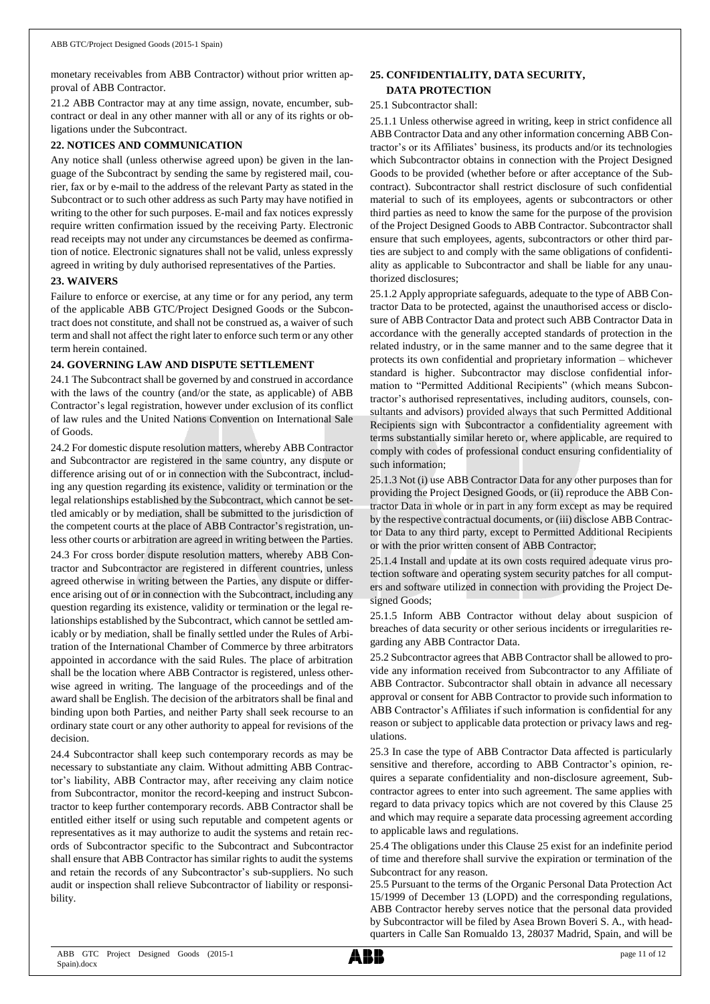monetary receivables from ABB Contractor) without prior written approval of ABB Contractor.

21.2 ABB Contractor may at any time assign, novate, encumber, subcontract or deal in any other manner with all or any of its rights or obligations under the Subcontract.

#### **22. NOTICES AND COMMUNICATION**

Any notice shall (unless otherwise agreed upon) be given in the language of the Subcontract by sending the same by registered mail, courier, fax or by e-mail to the address of the relevant Party as stated in the Subcontract or to such other address as such Party may have notified in writing to the other for such purposes. E-mail and fax notices expressly require written confirmation issued by the receiving Party. Electronic read receipts may not under any circumstances be deemed as confirmation of notice. Electronic signatures shall not be valid, unless expressly agreed in writing by duly authorised representatives of the Parties.

#### **23. WAIVERS**

Failure to enforce or exercise, at any time or for any period, any term of the applicable ABB GTC/Project Designed Goods or the Subcontract does not constitute, and shall not be construed as, a waiver of such term and shall not affect the right later to enforce such term or any other term herein contained.

### **24. GOVERNING LAW AND DISPUTE SETTLEMENT**

24.1 The Subcontract shall be governed by and construed in accordance with the laws of the country (and/or the state, as applicable) of ABB Contractor's legal registration, however under exclusion of its conflict of law rules and the United Nations Convention on International Sale of Goods.

24.2 For domestic dispute resolution matters, whereby ABB Contractor and Subcontractor are registered in the same country, any dispute or difference arising out of or in connection with the Subcontract, including any question regarding its existence, validity or termination or the legal relationships established by the Subcontract, which cannot be settled amicably or by mediation, shall be submitted to the jurisdiction of the competent courts at the place of ABB Contractor's registration, unless other courts or arbitration are agreed in writing between the Parties.

24.3 For cross border dispute resolution matters, whereby ABB Contractor and Subcontractor are registered in different countries, unless agreed otherwise in writing between the Parties, any dispute or difference arising out of or in connection with the Subcontract, including any question regarding its existence, validity or termination or the legal relationships established by the Subcontract, which cannot be settled amicably or by mediation, shall be finally settled under the Rules of Arbitration of the International Chamber of Commerce by three arbitrators appointed in accordance with the said Rules. The place of arbitration shall be the location where ABB Contractor is registered, unless otherwise agreed in writing. The language of the proceedings and of the award shall be English. The decision of the arbitrators shall be final and binding upon both Parties, and neither Party shall seek recourse to an ordinary state court or any other authority to appeal for revisions of the decision.

24.4 Subcontractor shall keep such contemporary records as may be necessary to substantiate any claim. Without admitting ABB Contractor's liability, ABB Contractor may, after receiving any claim notice from Subcontractor, monitor the record-keeping and instruct Subcontractor to keep further contemporary records. ABB Contractor shall be entitled either itself or using such reputable and competent agents or representatives as it may authorize to audit the systems and retain records of Subcontractor specific to the Subcontract and Subcontractor shall ensure that ABB Contractor has similar rights to audit the systems and retain the records of any Subcontractor's sub-suppliers. No such audit or inspection shall relieve Subcontractor of liability or responsibility.

## **25. CONFIDENTIALITY, DATA SECURITY, DATA PROTECTION**

### 25.1 Subcontractor shall:

25.1.1 Unless otherwise agreed in writing, keep in strict confidence all ABB Contractor Data and any other information concerning ABB Contractor's or its Affiliates' business, its products and/or its technologies which Subcontractor obtains in connection with the Project Designed Goods to be provided (whether before or after acceptance of the Subcontract). Subcontractor shall restrict disclosure of such confidential material to such of its employees, agents or subcontractors or other third parties as need to know the same for the purpose of the provision of the Project Designed Goods to ABB Contractor. Subcontractor shall ensure that such employees, agents, subcontractors or other third parties are subject to and comply with the same obligations of confidentiality as applicable to Subcontractor and shall be liable for any unauthorized disclosures;

25.1.2 Apply appropriate safeguards, adequate to the type of ABB Contractor Data to be protected, against the unauthorised access or disclosure of ABB Contractor Data and protect such ABB Contractor Data in accordance with the generally accepted standards of protection in the related industry, or in the same manner and to the same degree that it protects its own confidential and proprietary information – whichever standard is higher. Subcontractor may disclose confidential information to "Permitted Additional Recipients" (which means Subcontractor's authorised representatives, including auditors, counsels, consultants and advisors) provided always that such Permitted Additional Recipients sign with Subcontractor a confidentiality agreement with terms substantially similar hereto or, where applicable, are required to comply with codes of professional conduct ensuring confidentiality of such information;

25.1.3 Not (i) use ABB Contractor Data for any other purposes than for providing the Project Designed Goods, or (ii) reproduce the ABB Contractor Data in whole or in part in any form except as may be required by the respective contractual documents, or (iii) disclose ABB Contractor Data to any third party, except to Permitted Additional Recipients or with the prior written consent of ABB Contractor;

25.1.4 Install and update at its own costs required adequate virus protection software and operating system security patches for all computers and software utilized in connection with providing the Project Designed Goods;

25.1.5 Inform ABB Contractor without delay about suspicion of breaches of data security or other serious incidents or irregularities regarding any ABB Contractor Data.

25.2 Subcontractor agrees that ABB Contractor shall be allowed to provide any information received from Subcontractor to any Affiliate of ABB Contractor. Subcontractor shall obtain in advance all necessary approval or consent for ABB Contractor to provide such information to ABB Contractor's Affiliates if such information is confidential for any reason or subject to applicable data protection or privacy laws and regulations.

25.3 In case the type of ABB Contractor Data affected is particularly sensitive and therefore, according to ABB Contractor's opinion, requires a separate confidentiality and non-disclosure agreement, Subcontractor agrees to enter into such agreement. The same applies with regard to data privacy topics which are not covered by this Clause 25 and which may require a separate data processing agreement according to applicable laws and regulations.

25.4 The obligations under this Clause 25 exist for an indefinite period of time and therefore shall survive the expiration or termination of the Subcontract for any reason.

25.5 Pursuant to the terms of the Organic Personal Data Protection Act 15/1999 of December 13 (LOPD) and the corresponding regulations, ABB Contractor hereby serves notice that the personal data provided by Subcontractor will be filed by Asea Brown Boveri S. A., with headquarters in Calle San Romualdo 13, 28037 Madrid, Spain, and will be